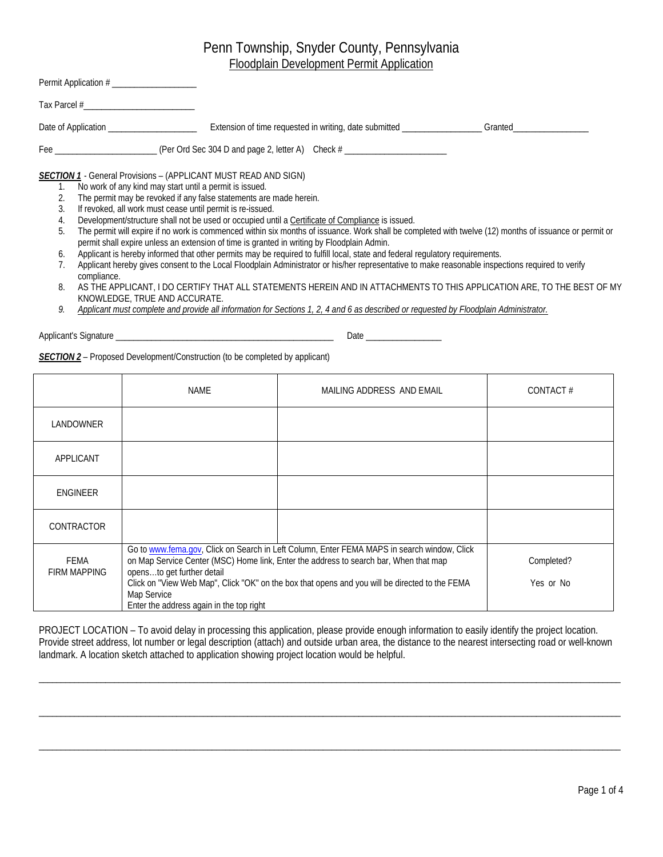|                                              | Permit Application #                                                                                                                                                                                                                                                                                                                                                                                                                                                                                                                                                                                                                                                                                                                                                                                                                                                                                                                                                                                                                                                                                                                                                                                                                      |
|----------------------------------------------|-------------------------------------------------------------------------------------------------------------------------------------------------------------------------------------------------------------------------------------------------------------------------------------------------------------------------------------------------------------------------------------------------------------------------------------------------------------------------------------------------------------------------------------------------------------------------------------------------------------------------------------------------------------------------------------------------------------------------------------------------------------------------------------------------------------------------------------------------------------------------------------------------------------------------------------------------------------------------------------------------------------------------------------------------------------------------------------------------------------------------------------------------------------------------------------------------------------------------------------------|
|                                              | Tax Parcel #                                                                                                                                                                                                                                                                                                                                                                                                                                                                                                                                                                                                                                                                                                                                                                                                                                                                                                                                                                                                                                                                                                                                                                                                                              |
|                                              | Date of Application                                                                                                                                                                                                                                                                                                                                                                                                                                                                                                                                                                                                                                                                                                                                                                                                                                                                                                                                                                                                                                                                                                                                                                                                                       |
|                                              | Fee _______________________________(Per Ord Sec 304 D and page 2, letter A) Check # __________________________                                                                                                                                                                                                                                                                                                                                                                                                                                                                                                                                                                                                                                                                                                                                                                                                                                                                                                                                                                                                                                                                                                                            |
| 1.<br>3.<br>4.<br>5.<br>6.<br>7.<br>8.<br>9. | <b>SECTION 1</b> - General Provisions – (APPLICANT MUST READ AND SIGN)<br>No work of any kind may start until a permit is issued.<br>The permit may be revoked if any false statements are made herein.<br>If revoked, all work must cease until permit is re-issued.<br>Development/structure shall not be used or occupied until a Certificate of Compliance is issued.<br>The permit will expire if no work is commenced within six months of issuance. Work shall be completed with twelve (12) months of issuance or permit or<br>permit shall expire unless an extension of time is granted in writing by Floodplain Admin.<br>Applicant is hereby informed that other permits may be required to fulfill local, state and federal regulatory requirements.<br>Applicant hereby gives consent to the Local Floodplain Administrator or his/her representative to make reasonable inspections required to verify<br>compliance.<br>AS THE APPLICANT, I DO CERTIFY THAT ALL STATEMENTS HEREIN AND IN ATTACHMENTS TO THIS APPLICATION ARE, TO THE BEST OF MY<br>KNOWLEDGE, TRUE AND ACCURATE.<br>Applicant must complete and provide all information for Sections 1, 2, 4 and 6 as described or requested by Floodplain Administrator. |

Applicant's Signature \_\_\_\_\_\_\_\_\_\_\_\_\_\_\_\_\_\_\_\_\_\_\_\_\_\_\_\_\_\_\_\_\_\_\_\_\_\_\_\_\_\_\_\_\_\_\_\_\_ Date \_\_\_\_\_\_\_\_\_\_\_\_\_\_\_\_\_

*SECTION 2* – Proposed Development/Construction (to be completed by applicant)

|                             | NAME                                                                                  | MAILING ADDRESS AND EMAIL                                                                                                                                                                                                                                                              | CONTACT#                |
|-----------------------------|---------------------------------------------------------------------------------------|----------------------------------------------------------------------------------------------------------------------------------------------------------------------------------------------------------------------------------------------------------------------------------------|-------------------------|
| LANDOWNER                   |                                                                                       |                                                                                                                                                                                                                                                                                        |                         |
| APPLICANT                   |                                                                                       |                                                                                                                                                                                                                                                                                        |                         |
| <b>ENGINEER</b>             |                                                                                       |                                                                                                                                                                                                                                                                                        |                         |
| CONTRACTOR                  |                                                                                       |                                                                                                                                                                                                                                                                                        |                         |
| FEMA<br><b>FIRM MAPPING</b> | opensto get further detail<br>Map Service<br>Enter the address again in the top right | Go to www.fema.gov, Click on Search in Left Column, Enter FEMA MAPS in search window, Click<br>on Map Service Center (MSC) Home link, Enter the address to search bar, When that map<br>Click on "View Web Map", Click "OK" on the box that opens and you will be directed to the FEMA | Completed?<br>Yes or No |

PROJECT LOCATION – To avoid delay in processing this application, please provide enough information to easily identify the project location. Provide street address, lot number or legal description (attach) and outside urban area, the distance to the nearest intersecting road or well-known landmark. A location sketch attached to application showing project location would be helpful.

\_\_\_\_\_\_\_\_\_\_\_\_\_\_\_\_\_\_\_\_\_\_\_\_\_\_\_\_\_\_\_\_\_\_\_\_\_\_\_\_\_\_\_\_\_\_\_\_\_\_\_\_\_\_\_\_\_\_\_\_\_\_\_\_\_\_\_\_\_\_\_\_\_\_\_\_\_\_\_\_\_\_\_\_\_\_\_\_\_\_\_\_\_\_\_\_\_\_\_\_\_\_\_\_\_\_\_\_\_\_\_\_\_\_\_\_\_\_\_\_\_\_\_\_\_\_\_\_\_\_\_

\_\_\_\_\_\_\_\_\_\_\_\_\_\_\_\_\_\_\_\_\_\_\_\_\_\_\_\_\_\_\_\_\_\_\_\_\_\_\_\_\_\_\_\_\_\_\_\_\_\_\_\_\_\_\_\_\_\_\_\_\_\_\_\_\_\_\_\_\_\_\_\_\_\_\_\_\_\_\_\_\_\_\_\_\_\_\_\_\_\_\_\_\_\_\_\_\_\_\_\_\_\_\_\_\_\_\_\_\_\_\_\_\_\_\_\_\_\_\_\_\_\_\_\_\_\_\_\_\_\_\_

\_\_\_\_\_\_\_\_\_\_\_\_\_\_\_\_\_\_\_\_\_\_\_\_\_\_\_\_\_\_\_\_\_\_\_\_\_\_\_\_\_\_\_\_\_\_\_\_\_\_\_\_\_\_\_\_\_\_\_\_\_\_\_\_\_\_\_\_\_\_\_\_\_\_\_\_\_\_\_\_\_\_\_\_\_\_\_\_\_\_\_\_\_\_\_\_\_\_\_\_\_\_\_\_\_\_\_\_\_\_\_\_\_\_\_\_\_\_\_\_\_\_\_\_\_\_\_\_\_\_\_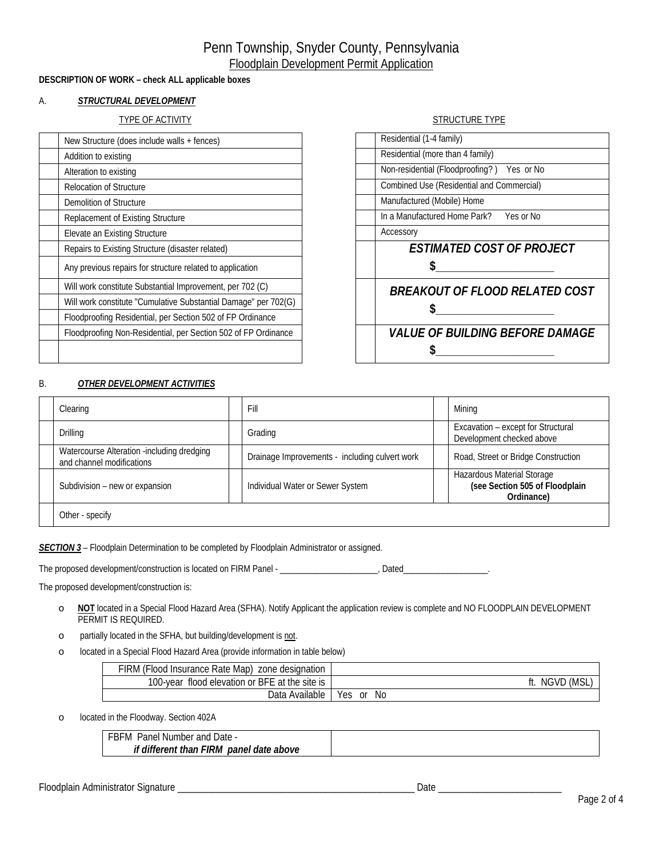### **DESCRIPTION OF WORK – check ALL applicable boxes**

### A. *STRUCTURAL DEVELOPMENT*

### TYPE OF ACTIVITY STRUCTURE TYPE

| New Structure (does include walls + fences)                     | Residential (1-4 family)                   |
|-----------------------------------------------------------------|--------------------------------------------|
| Addition to existing                                            | Residential (more than 4 family)           |
| Alteration to existing                                          | Non-residential (Floodproofing?) Yes or No |
| <b>Relocation of Structure</b>                                  | Combined Use (Residential and Commercial)  |
| Demolition of Structure                                         | Manufactured (Mobile) Home                 |
| Replacement of Existing Structure                               | In a Manufactured Home Park?<br>Yes or No  |
| Elevate an Existing Structure                                   | Accessory                                  |
| Repairs to Existing Structure (disaster related)                | <b>ESTIMATED COST OF PROJECT</b>           |
| Any previous repairs for structure related to application       |                                            |
| Will work constitute Substantial Improvement, per 702 (C)       | <b>BREAKOUT OF FLOOD RELATED COST</b>      |
| Will work constitute "Cumulative Substantial Damage" per 702(G) |                                            |
| Floodproofing Residential, per Section 502 of FP Ordinance      |                                            |
| Floodproofing Non-Residential, per Section 502 of FP Ordinance  | <b>VALUE OF BUILDING BEFORE DAMAGE</b>     |
|                                                                 |                                            |
|                                                                 |                                            |

| 1110010111111                              |
|--------------------------------------------|
| Residential (1-4 family)                   |
| Residential (more than 4 family)           |
| Non-residential (Floodproofing?) Yes or No |
| Combined Use (Residential and Commercial)  |
| Manufactured (Mobile) Home                 |
| In a Manufactured Home Park? Yes or No     |
| Accessory                                  |
| <b>ESTIMATED COST OF PROJECT</b>           |
| S.                                         |
| BREAKOUT OF FLOOD RELATED COST             |
| <b>VALUE OF BUILDING BEFORE DAMAGE</b>     |

### B. *OTHER DEVELOPMENT ACTIVITIES*

| Clearing                                                                | Fill                                           | Mining                                                                     |
|-------------------------------------------------------------------------|------------------------------------------------|----------------------------------------------------------------------------|
| Drilling                                                                | Grading                                        | Excavation - except for Structural<br>Development checked above            |
| Watercourse Alteration -including dredging<br>and channel modifications | Drainage Improvements - including culvert work | Road, Street or Bridge Construction                                        |
| Subdivision - new or expansion                                          | Individual Water or Sewer System               | Hazardous Material Storage<br>(see Section 505 of Floodplain<br>Ordinance) |
| Other - specify                                                         |                                                |                                                                            |

**SECTION 3** - Floodplain Determination to be completed by Floodplain Administrator or assigned.

The proposed development/construction is located on FIRM Panel - \_\_\_\_\_\_\_\_\_\_\_\_\_\_\_\_\_\_\_\_\_\_\_, Dated\_

The proposed development/construction is:

- o **NOT** located in a Special Flood Hazard Area (SFHA). Notify Applicant the application review is complete and NO FLOODPLAIN DEVELOPMENT PERMIT IS REQUIRED.
- o partially located in the SFHA, but building/development is not.
- o located in a Special Flood Hazard Area (provide information in table below)

| FIRM (Flood Insurance Rate Map) zone designation |                  |
|--------------------------------------------------|------------------|
| 100-year flood elevation or BFE at the site is   | NGVD (MSL,       |
| Data Available                                   | No.<br>Yes<br>0r |

o located in the Floodway. Section 402A

| FBFM<br>Date -<br>and L<br>Panel<br>Number      |  |
|-------------------------------------------------|--|
| if different than r<br>FIRM<br>panel date above |  |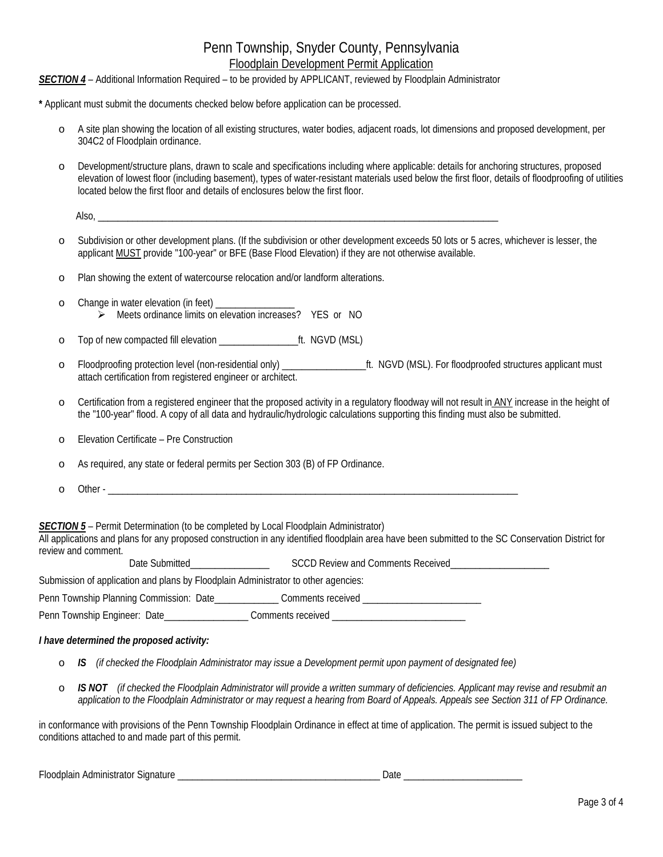### *SECTION 4* – Additional Information Required – to be provided by APPLICANT, reviewed by Floodplain Administrator

**\*** Applicant must submit the documents checked below before application can be processed.

- o A site plan showing the location of all existing structures, water bodies, adjacent roads, lot dimensions and proposed development, per 304C2 of Floodplain ordinance.
- o Development/structure plans, drawn to scale and specifications including where applicable: details for anchoring structures, proposed elevation of lowest floor (including basement), types of water-resistant materials used below the first floor, details of floodproofing of utilities located below the first floor and details of enclosures below the first floor.

| ۱٥.<br>יי<br>៶៲ບ |  |  |  |
|------------------|--|--|--|
|                  |  |  |  |

- o Subdivision or other development plans. (If the subdivision or other development exceeds 50 lots or 5 acres, whichever is lesser, the applicant MUST provide "100-year" or BFE (Base Flood Elevation) if they are not otherwise available.
- o Plan showing the extent of watercourse relocation and/or landform alterations.
- o Change in water elevation (in feet) \_\_\_\_\_\_\_\_\_\_\_\_\_\_\_\_ Meets ordinance limits on elevation increases? YES or NO
- o Top of new compacted fill elevation \_\_\_\_\_\_\_\_\_\_\_\_\_\_\_\_ft. NGVD (MSL)
- o Floodproofing protection level (non-residential only) \_\_\_\_\_\_\_\_\_\_\_\_\_\_\_\_\_ft. NGVD (MSL). For floodproofed structures applicant must attach certification from registered engineer or architect.
- o Certification from a registered engineer that the proposed activity in a regulatory floodway will not result in ANY increase in the height of the "100-year" flood. A copy of all data and hydraulic/hydrologic calculations supporting this finding must also be submitted.
- o Elevation Certificate Pre Construction
- o As required, any state or federal permits per Section 303 (B) of FP Ordinance.
- $\circ$  Other -
- **SECTION 5** Permit Determination (to be completed by Local Floodplain Administrator)

All applications and plans for any proposed construction in any identified floodplain area have been submitted to the SC Conservation District for review and comment. Date Submitted Broad Comments Comments Comments Recorded Study Comments Received Broad Comments Received Broad<br>Received

| Date Submitted                                                                     | SCCD Review and Comments Received |
|------------------------------------------------------------------------------------|-----------------------------------|
| Submission of application and plans by Floodplain Administrator to other agencies: |                                   |
| Penn Township Planning Commission: Date                                            | Comments received                 |
| Penn Township Engineer: Date                                                       | Comments received                 |

#### *I have determined the proposed activity:*

- o *IS (if checked the Floodplain Administrator may issue a Development permit upon payment of designated fee)*
- **IS NOT** (if checked the Floodplain Administrator will provide a written summary of deficiencies. Applicant may revise and resubmit an *application to the Floodplain Administrator or may request a hearing from Board of Appeals. Appeals see Section 311 of FP Ordinance.*

in conformance with provisions of the Penn Township Floodplain Ordinance in effect at time of application. The permit is issued subject to the conditions attached to and made part of this permit.

| $\overline{ }$<br>ר ו∩ו ∹ | ure<br>.<br>qpıaır<br>. sian<br>mını<br>$\overline{a}$<br>наг<br>ווער |  |
|---------------------------|-----------------------------------------------------------------------|--|
|                           |                                                                       |  |